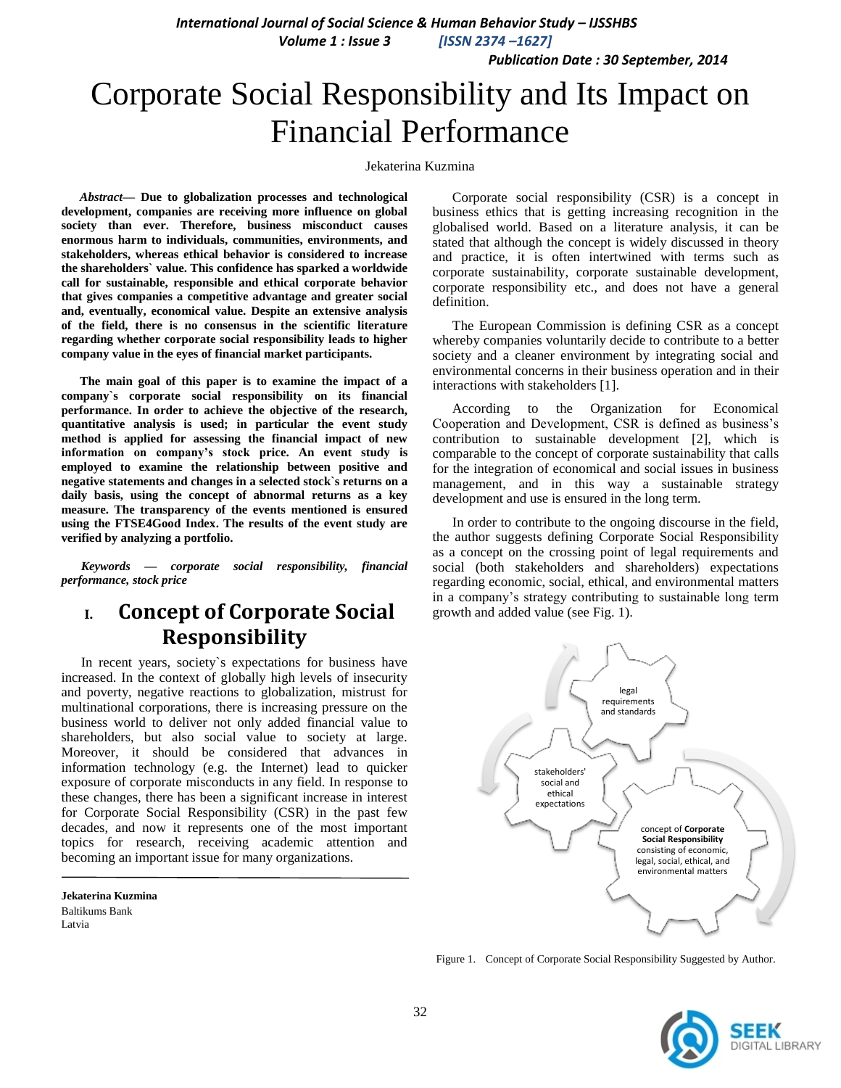*International Journal of Social Science & Human Behavior Study – IJSSHBS*

 *Volume 1 : Issue 3 [ISSN 2374 –1627]*

 *Publication Date : 30 September, 2014*

# Corporate Social Responsibility and Its Impact on Financial Performance

#### Jekaterina Kuzmina

*Abstract***— Due to globalization processes and technological development, companies are receiving more influence on global society than ever. Therefore, business misconduct causes enormous harm to individuals, communities, environments, and stakeholders, whereas ethical behavior is considered to increase the shareholders` value. This confidence has sparked a worldwide call for sustainable, responsible and ethical corporate behavior that gives companies a competitive advantage and greater social and, eventually, economical value. Despite an extensive analysis of the field, there is no consensus in the scientific literature regarding whether corporate social responsibility leads to higher company value in the eyes of financial market participants.** 

**The main goal of this paper is to examine the impact of a company`s corporate social responsibility on its financial performance. In order to achieve the objective of the research, quantitative analysis is used; in particular the event study method is applied for assessing the financial impact of new information on company's stock price. An event study is employed to examine the relationship between positive and negative statements and changes in a selected stock`s returns on a daily basis, using the concept of abnormal returns as a key measure. The transparency of the events mentioned is ensured using the FTSE4Good Index. The results of the event study are verified by analyzing a portfolio.**

*Keywords — corporate social responsibility, financial performance, stock price* 

# **I. Concept of Corporate Social Responsibility**

In recent years, society`s expectations for business have increased. In the context of globally high levels of insecurity and poverty, negative reactions to globalization, mistrust for multinational corporations, there is increasing pressure on the business world to deliver not only added financial value to shareholders, but also social value to society at large. Moreover, it should be considered that advances in information technology (e.g. the Internet) lead to quicker exposure of corporate misconducts in any field. In response to these changes, there has been a significant increase in interest for Corporate Social Responsibility (CSR) in the past few decades, and now it represents one of the most important topics for research, receiving academic attention and becoming an important issue for many organizations.

**Jekaterina Kuzmina** Baltikums Bank Latvia

Corporate social responsibility (CSR) is a concept in business ethics that is getting increasing recognition in the globalised world. Based on a literature analysis, it can be stated that although the concept is widely discussed in theory and practice, it is often intertwined with terms such as corporate sustainability, corporate sustainable development, corporate responsibility etc., and does not have a general definition.

The European Commission is defining CSR as a concept whereby companies voluntarily decide to contribute to a better society and a cleaner environment by integrating social and environmental concerns in their business operation and in their interactions with stakeholders [1].

According to the Organization for Economical Cooperation and Development, CSR is defined as business's contribution to sustainable development [2], which is comparable to the concept of corporate sustainability that calls for the integration of economical and social issues in business management, and in this way a sustainable strategy development and use is ensured in the long term.

In order to contribute to the ongoing discourse in the field, the author suggests defining Corporate Social Responsibility as a concept on the crossing point of legal requirements and social (both stakeholders and shareholders) expectations regarding economic, social, ethical, and environmental matters in a company's strategy contributing to sustainable long term growth and added value (see Fig. 1).



Figure 1. Concept of Corporate Social Responsibility Suggested by Author.

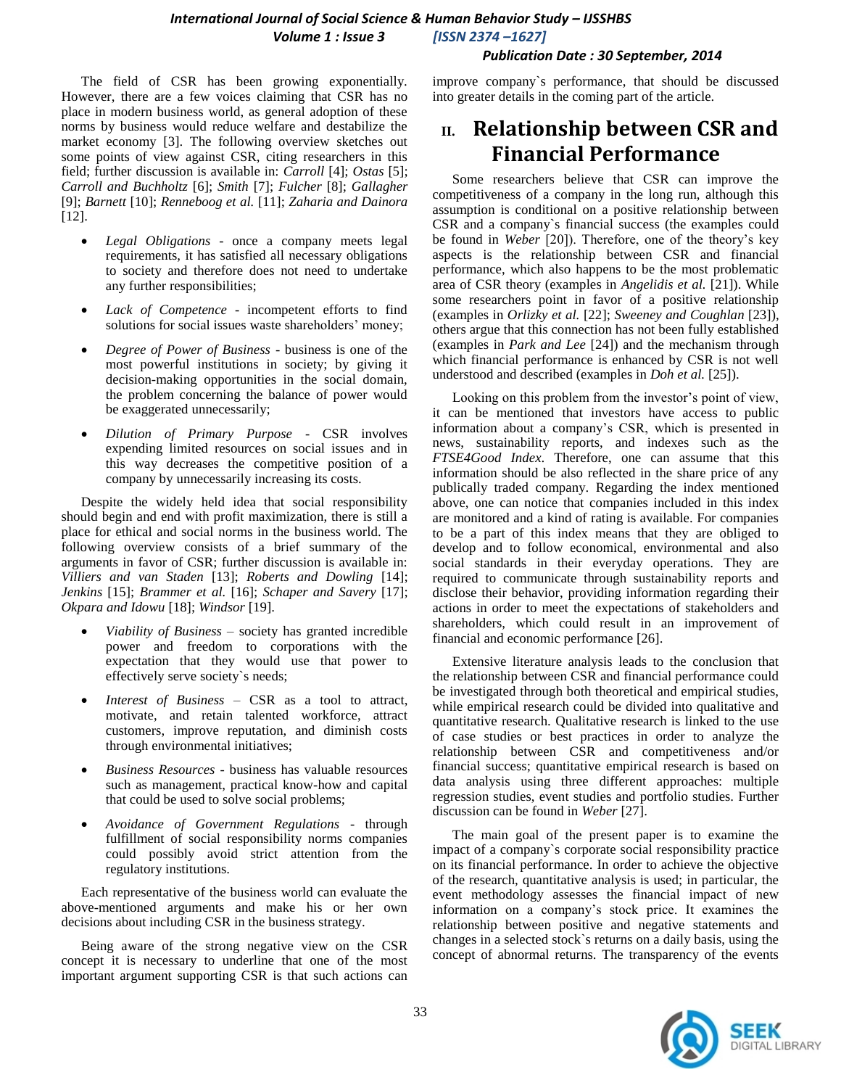### *International Journal of Social Science & Human Behavior Study – IJSSHBS Volume 1 : Issue 3 [ISSN 2374 –1627]*

#### *Publication Date : 30 September, 2014*

The field of CSR has been growing exponentially. However, there are a few voices claiming that CSR has no place in modern business world, as general adoption of these norms by business would reduce welfare and destabilize the market economy [3]. The following overview sketches out some points of view against CSR, citing researchers in this field; further discussion is available in: *Carroll* [4]; *Ostas* [5]; *Carroll and Buchholtz* [6]; *Smith* [7]; *Fulcher* [8]; *Gallagher* [9]; *Barnett* [10]; *Renneboog et al.* [11]; *Zaharia and Dainora* [12].

- *Legal Obligations* once a company meets legal requirements, it has satisfied all necessary obligations to society and therefore does not need to undertake any further responsibilities;
- *Lack of Competence* incompetent efforts to find solutions for social issues waste shareholders' money;
- *Degree of Power of Business* business is one of the most powerful institutions in society; by giving it decision-making opportunities in the social domain, the problem concerning the balance of power would be exaggerated unnecessarily;
- *Dilution of Primary Purpose* CSR involves expending limited resources on social issues and in this way decreases the competitive position of a company by unnecessarily increasing its costs.

Despite the widely held idea that social responsibility should begin and end with profit maximization, there is still a place for ethical and social norms in the business world. The following overview consists of a brief summary of the arguments in favor of CSR; further discussion is available in: *Villiers and van Staden* [13]; *Roberts and Dowling* [14]; *Jenkins* [15]; *Brammer et al.* [16]; *Schaper and Savery* [17]; *Okpara and Idowu* [18]; *Windsor* [19].

- *Viability of Business* society has granted incredible power and freedom to corporations with the expectation that they would use that power to effectively serve society`s needs;
- *Interest of Business* CSR as a tool to attract, motivate, and retain talented workforce, attract customers, improve reputation, and diminish costs through environmental initiatives;
- *Business Resources* business has valuable resources such as management, practical know-how and capital that could be used to solve social problems;
- *Avoidance of Government Regulations* through fulfillment of social responsibility norms companies could possibly avoid strict attention from the regulatory institutions.

Each representative of the business world can evaluate the above-mentioned arguments and make his or her own decisions about including CSR in the business strategy.

Being aware of the strong negative view on the CSR concept it is necessary to underline that one of the most important argument supporting CSR is that such actions can improve company`s performance, that should be discussed into greater details in the coming part of the article.

# **II. Relationship between CSR and Financial Performance**

Some researchers believe that CSR can improve the competitiveness of a company in the long run, although this assumption is conditional on a positive relationship between CSR and a company`s financial success (the examples could be found in *Weber* [20]). Therefore, one of the theory's key aspects is the relationship between CSR and financial performance, which also happens to be the most problematic area of CSR theory (examples in *Angelidis et al.* [21]). While some researchers point in favor of a positive relationship (examples in *Orlizky et al.* [22]; *Sweeney and Coughlan* [23]), others argue that this connection has not been fully established (examples in *Park and Lee* [24]) and the mechanism through which financial performance is enhanced by CSR is not well understood and described (examples in *Doh et al.* [25]).

Looking on this problem from the investor's point of view, it can be mentioned that investors have access to public information about a company's CSR, which is presented in news, sustainability reports, and indexes such as the *FTSE4Good Index*. Therefore, one can assume that this information should be also reflected in the share price of any publically traded company. Regarding the index mentioned above, one can notice that companies included in this index are monitored and a kind of rating is available. For companies to be a part of this index means that they are obliged to develop and to follow economical, environmental and also social standards in their everyday operations. They are required to communicate through sustainability reports and disclose their behavior, providing information regarding their actions in order to meet the expectations of stakeholders and shareholders, which could result in an improvement of financial and economic performance [26].

Extensive literature analysis leads to the conclusion that the relationship between CSR and financial performance could be investigated through both theoretical and empirical studies, while empirical research could be divided into qualitative and quantitative research. Qualitative research is linked to the use of case studies or best practices in order to analyze the relationship between CSR and competitiveness and/or financial success; quantitative empirical research is based on data analysis using three different approaches: multiple regression studies, event studies and portfolio studies. Further discussion can be found in *Weber* [27].

The main goal of the present paper is to examine the impact of a company`s corporate social responsibility practice on its financial performance. In order to achieve the objective of the research, quantitative analysis is used; in particular, the event methodology assesses the financial impact of new information on a company's stock price. It examines the relationship between positive and negative statements and changes in a selected stock`s returns on a daily basis, using the concept of abnormal returns. The transparency of the events

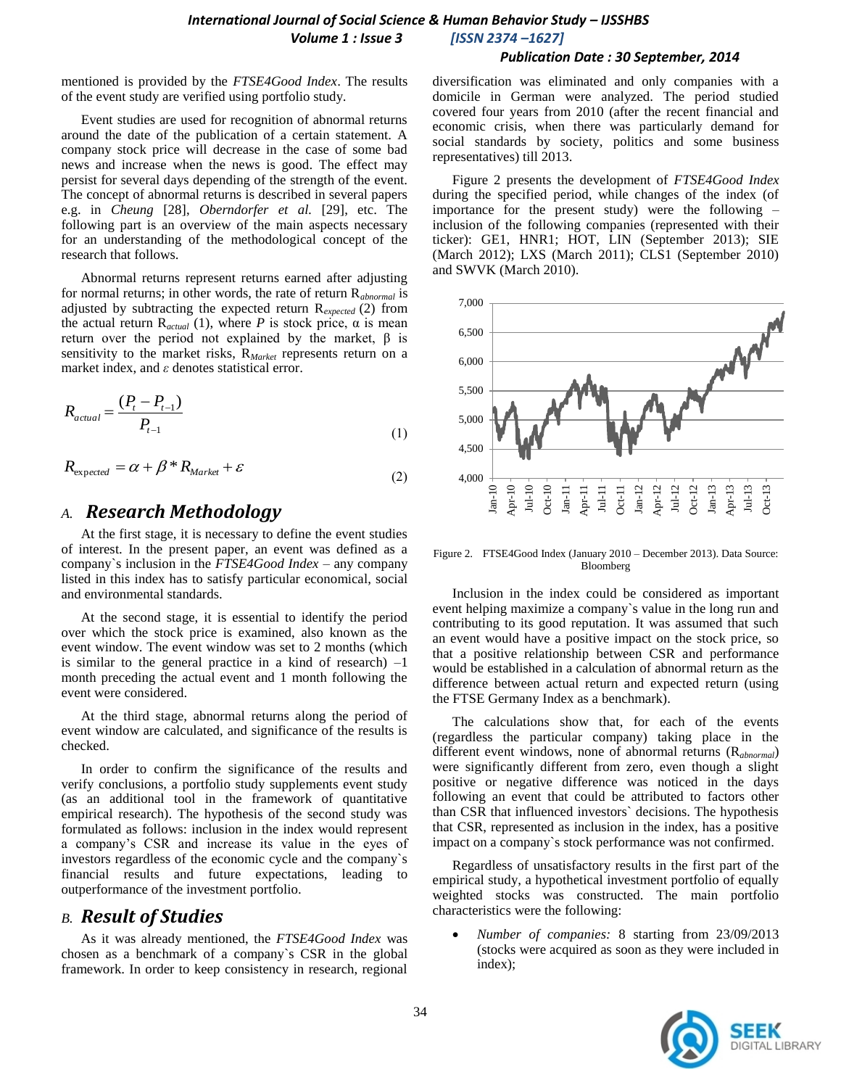#### *Publication Date : 30 September, 2014*

mentioned is provided by the *FTSE4Good Index*. The results of the event study are verified using portfolio study.

Event studies are used for recognition of abnormal returns around the date of the publication of a certain statement. A company stock price will decrease in the case of some bad news and increase when the news is good. The effect may persist for several days depending of the strength of the event. The concept of abnormal returns is described in several papers e.g. in *Cheung* [28], *Oberndorfer et al.* [29], etc. The following part is an overview of the main aspects necessary for an understanding of the methodological concept of the research that follows.

Abnormal returns represent returns earned after adjusting for normal returns; in other words, the rate of return R*abnormal* is adjusted by subtracting the expected return R*expected* (2) from the actual return  $R_{actual}$  (1), where *P* is stock price,  $\alpha$  is mean return over the period not explained by the market, β is sensitivity to the market risks, R*Market* represents return on a market index, and *ε* denotes statistical error.

$$
R_{actual} = \frac{(P_t - P_{t-1})}{P_{t-1}}
$$
\n(1)

$$
R_{\text{expected}} = \alpha + \beta \, ^*R_{\text{Market}} + \varepsilon \tag{2}
$$

## *A. Research Methodology*

At the first stage, it is necessary to define the event studies of interest. In the present paper, an event was defined as a company`s inclusion in the *FTSE4Good Index* – any company listed in this index has to satisfy particular economical, social and environmental standards.

At the second stage, it is essential to identify the period over which the stock price is examined, also known as the event window. The event window was set to 2 months (which is similar to the general practice in a kind of research)  $-1$ month preceding the actual event and 1 month following the event were considered.

At the third stage, abnormal returns along the period of event window are calculated, and significance of the results is checked.

In order to confirm the significance of the results and verify conclusions, a portfolio study supplements event study (as an additional tool in the framework of quantitative empirical research). The hypothesis of the second study was formulated as follows: inclusion in the index would represent a company's CSR and increase its value in the eyes of investors regardless of the economic cycle and the company`s financial results and future expectations, leading to outperformance of the investment portfolio.

## *B. Result of Studies*

As it was already mentioned, the *FTSE4Good Index* was chosen as a benchmark of a company`s CSR in the global framework. In order to keep consistency in research, regional diversification was eliminated and only companies with a domicile in German were analyzed. The period studied covered four years from 2010 (after the recent financial and economic crisis, when there was particularly demand for social standards by society, politics and some business representatives) till 2013.

Figure 2 presents the development of *FTSE4Good Index*  during the specified period, while changes of the index (of importance for the present study) were the following – inclusion of the following companies (represented with their ticker): GE1, HNR1; HOT, LIN (September 2013); SIE (March 2012); LXS (March 2011); CLS1 (September 2010) and SWVK (March 2010).



Figure 2. FTSE4Good Index (January 2010 – December 2013). Data Source: Bloomberg

Inclusion in the index could be considered as important event helping maximize a company`s value in the long run and contributing to its good reputation. It was assumed that such an event would have a positive impact on the stock price, so that a positive relationship between CSR and performance would be established in a calculation of abnormal return as the difference between actual return and expected return (using the FTSE Germany Index as a benchmark).

The calculations show that, for each of the events (regardless the particular company) taking place in the different event windows, none of abnormal returns (R*abnormal*) were significantly different from zero, even though a slight positive or negative difference was noticed in the days following an event that could be attributed to factors other than CSR that influenced investors` decisions. The hypothesis that CSR, represented as inclusion in the index, has a positive impact on a company`s stock performance was not confirmed.

Regardless of unsatisfactory results in the first part of the empirical study, a hypothetical investment portfolio of equally weighted stocks was constructed. The main portfolio characteristics were the following:

 *Number of companies:* 8 starting from 23/09/2013 (stocks were acquired as soon as they were included in index);

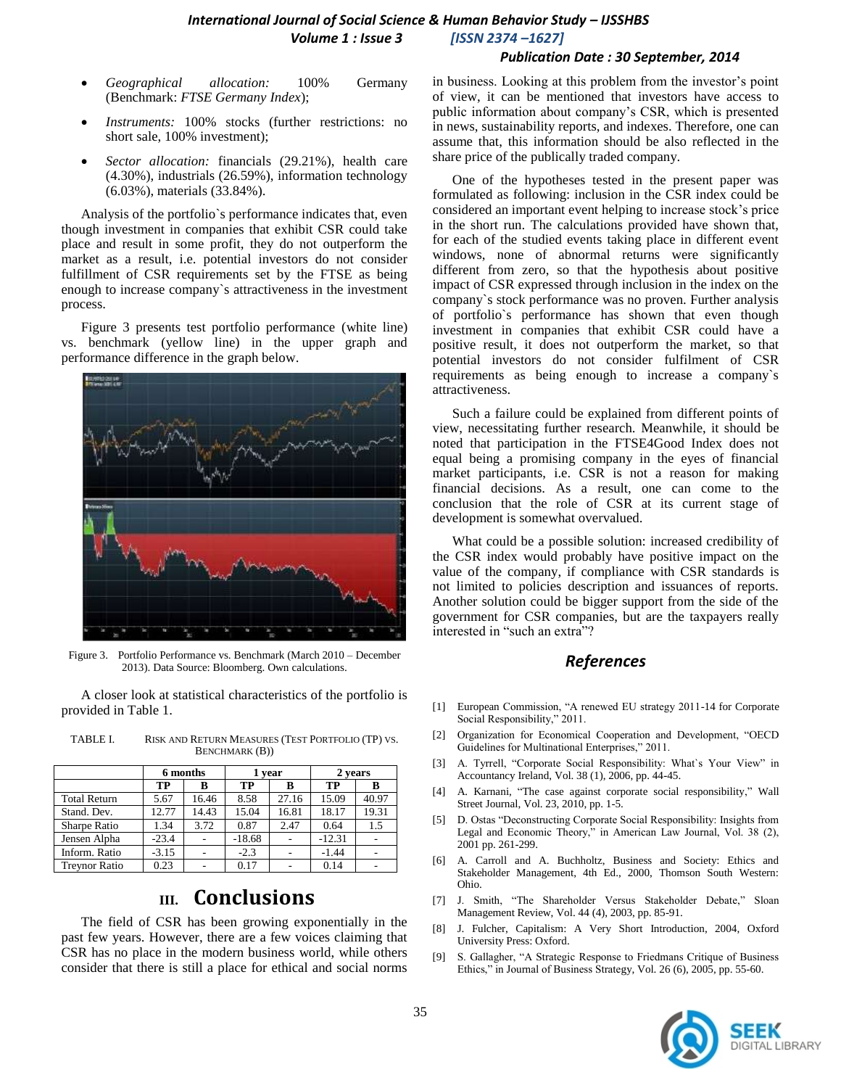## *International Journal of Social Science & Human Behavior Study – IJSSHBS Volume 1 : Issue 3 [ISSN 2374 –1627]*

#### *Publication Date : 30 September, 2014*

- *Geographical allocation:* 100% Germany (Benchmark: *FTSE Germany Index*);
- *Instruments:* 100% stocks (further restrictions: no short sale, 100% investment);
- *Sector allocation:* financials (29.21%), health care (4.30%), industrials (26.59%), information technology (6.03%), materials (33.84%).

Analysis of the portfolio`s performance indicates that, even though investment in companies that exhibit CSR could take place and result in some profit, they do not outperform the market as a result, i.e. potential investors do not consider fulfillment of CSR requirements set by the FTSE as being enough to increase company`s attractiveness in the investment process.

Figure 3 presents test portfolio performance (white line) vs. benchmark (yellow line) in the upper graph and performance difference in the graph below.



Figure 3. Portfolio Performance vs. Benchmark (March 2010 – December 2013). Data Source: Bloomberg. Own calculations.

A closer look at statistical characteristics of the portfolio is provided in Table 1.

|                      | 6 months |       | 1 year   |       | 2 vears  |       |
|----------------------|----------|-------|----------|-------|----------|-------|
|                      | TP       | B     | TР       | в     | ТP       |       |
| <b>Total Return</b>  | 5.67     | 16.46 | 8.58     | 27.16 | 15.09    | 40.97 |
| Stand. Dev.          | 12.77    | 14.43 | 15.04    | 16.81 | 18.17    | 19.31 |
| <b>Sharpe Ratio</b>  | 1.34     | 3.72  | 0.87     | 2.47  | 0.64     | 1.5   |
| Jensen Alpha         | $-23.4$  |       | $-18.68$ |       | $-12.31$ |       |
| Inform. Ratio        | $-3.15$  |       | $-2.3$   |       | $-1.44$  |       |
| <b>Trevnor Ratio</b> | 0.23     |       | 0.17     |       | 0.14     |       |

TABLE I. RISK AND RETURN MEASURES (TEST PORTFOLIO (TP) VS. BENCHMARK (B))

# **III. Conclusions**

The field of CSR has been growing exponentially in the past few years. However, there are a few voices claiming that CSR has no place in the modern business world, while others consider that there is still a place for ethical and social norms in business. Looking at this problem from the investor's point of view, it can be mentioned that investors have access to public information about company's CSR, which is presented in news, sustainability reports, and indexes. Therefore, one can assume that, this information should be also reflected in the share price of the publically traded company.

One of the hypotheses tested in the present paper was formulated as following: inclusion in the CSR index could be considered an important event helping to increase stock's price in the short run. The calculations provided have shown that, for each of the studied events taking place in different event windows, none of abnormal returns were significantly different from zero, so that the hypothesis about positive impact of CSR expressed through inclusion in the index on the company`s stock performance was no proven. Further analysis of portfolio`s performance has shown that even though investment in companies that exhibit CSR could have a positive result, it does not outperform the market, so that potential investors do not consider fulfilment of CSR requirements as being enough to increase a company`s attractiveness.

Such a failure could be explained from different points of view, necessitating further research. Meanwhile, it should be noted that participation in the FTSE4Good Index does not equal being a promising company in the eyes of financial market participants, i.e. CSR is not a reason for making financial decisions. As a result, one can come to the conclusion that the role of CSR at its current stage of development is somewhat overvalued.

What could be a possible solution: increased credibility of the CSR index would probably have positive impact on the value of the company, if compliance with CSR standards is not limited to policies description and issuances of reports. Another solution could be bigger support from the side of the government for CSR companies, but are the taxpayers really interested in "such an extra"?

## *References*

- [1] European Commission, "A renewed EU strategy 2011-14 for Corporate Social Responsibility," 2011.
- [2] Organization for Economical Cooperation and Development, "OECD Guidelines for Multinational Enterprises," 2011.
- [3] A. Tyrrell, "Corporate Social Responsibility: What`s Your View" in Accountancy Ireland, Vol. 38 (1), 2006, pp. 44-45.
- [4] A. Karnani, "The case against corporate social responsibility," Wall Street Journal, Vol. 23, 2010, pp. 1-5.
- [5] D. Ostas "Deconstructing Corporate Social Responsibility: Insights from Legal and Economic Theory," in American Law Journal, Vol. 38 (2), 2001 pp. 261-299.
- [6] A. Carroll and A. Buchholtz, Business and Society: Ethics and Stakeholder Management, 4th Ed., 2000, Thomson South Western: Ohio.
- [7] J. Smith, "The Shareholder Versus Stakeholder Debate," Sloan Management Review, Vol. 44 (4), 2003, pp. 85-91.
- [8] J. Fulcher, Capitalism: A Very Short Introduction, 2004, Oxford University Press: Oxford.
- [9] S. Gallagher, "A Strategic Response to Friedmans Critique of Business Ethics," in Journal of Business Strategy, Vol. 26 (6), 2005, pp. 55-60.